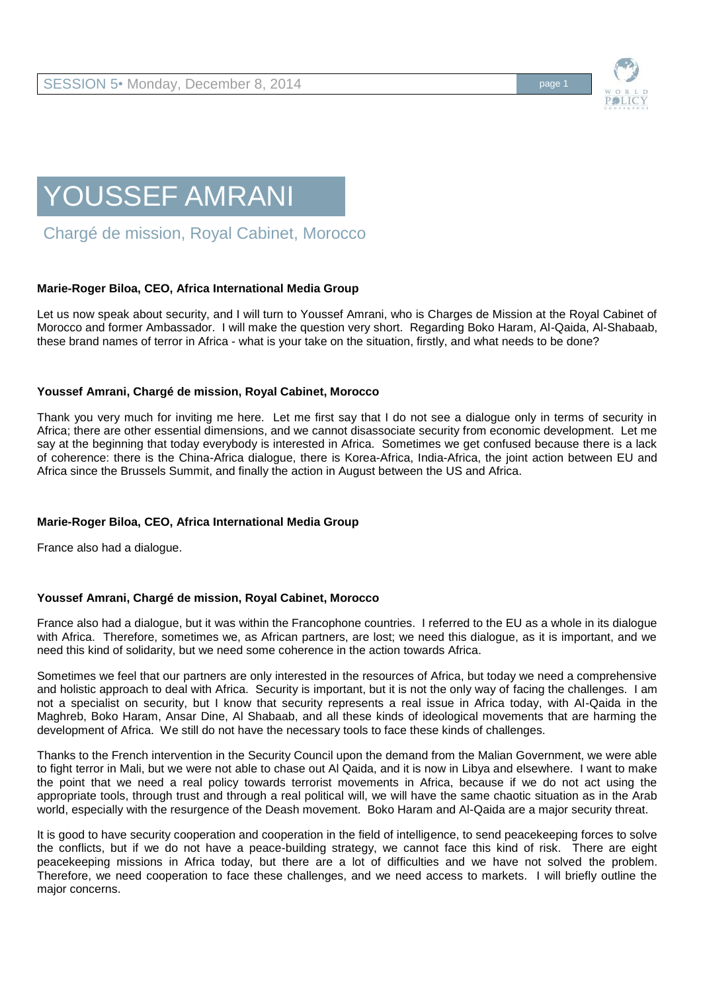

# YOUSSEF AMRANI

Chargé de mission, Royal Cabinet, Morocco

## **Marie-Roger Biloa, CEO, Africa International Media Group**

Let us now speak about security, and I will turn to Youssef Amrani, who is Charges de Mission at the Royal Cabinet of Morocco and former Ambassador. I will make the question very short. Regarding Boko Haram, Al-Qaida, Al-Shabaab, these brand names of terror in Africa - what is your take on the situation, firstly, and what needs to be done?

### **Youssef Amrani, Chargé de mission, Royal Cabinet, Morocco**

Thank you very much for inviting me here. Let me first say that I do not see a dialogue only in terms of security in Africa; there are other essential dimensions, and we cannot disassociate security from economic development. Let me say at the beginning that today everybody is interested in Africa. Sometimes we get confused because there is a lack of coherence: there is the China-Africa dialogue, there is Korea-Africa, India-Africa, the joint action between EU and Africa since the Brussels Summit, and finally the action in August between the US and Africa.

### **Marie-Roger Biloa, CEO, Africa International Media Group**

France also had a dialogue.

### **Youssef Amrani, Chargé de mission, Royal Cabinet, Morocco**

France also had a dialogue, but it was within the Francophone countries. I referred to the EU as a whole in its dialogue with Africa. Therefore, sometimes we, as African partners, are lost; we need this dialogue, as it is important, and we need this kind of solidarity, but we need some coherence in the action towards Africa.

Sometimes we feel that our partners are only interested in the resources of Africa, but today we need a comprehensive and holistic approach to deal with Africa. Security is important, but it is not the only way of facing the challenges. I am not a specialist on security, but I know that security represents a real issue in Africa today, with Al-Qaida in the Maghreb, Boko Haram, Ansar Dine, Al Shabaab, and all these kinds of ideological movements that are harming the development of Africa. We still do not have the necessary tools to face these kinds of challenges.

Thanks to the French intervention in the Security Council upon the demand from the Malian Government, we were able to fight terror in Mali, but we were not able to chase out Al Qaida, and it is now in Libya and elsewhere. I want to make the point that we need a real policy towards terrorist movements in Africa, because if we do not act using the appropriate tools, through trust and through a real political will, we will have the same chaotic situation as in the Arab world, especially with the resurgence of the Deash movement. Boko Haram and Al-Qaida are a major security threat.

It is good to have security cooperation and cooperation in the field of intelligence, to send peacekeeping forces to solve the conflicts, but if we do not have a peace-building strategy, we cannot face this kind of risk. There are eight peacekeeping missions in Africa today, but there are a lot of difficulties and we have not solved the problem. Therefore, we need cooperation to face these challenges, and we need access to markets. I will briefly outline the major concerns.